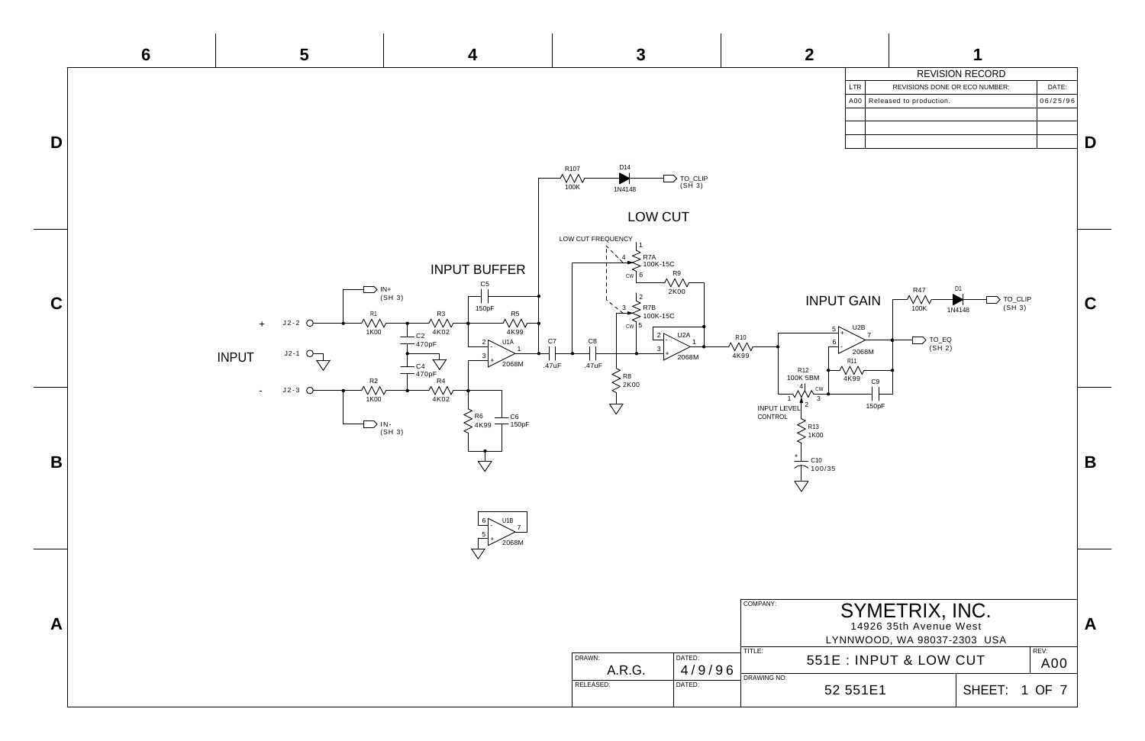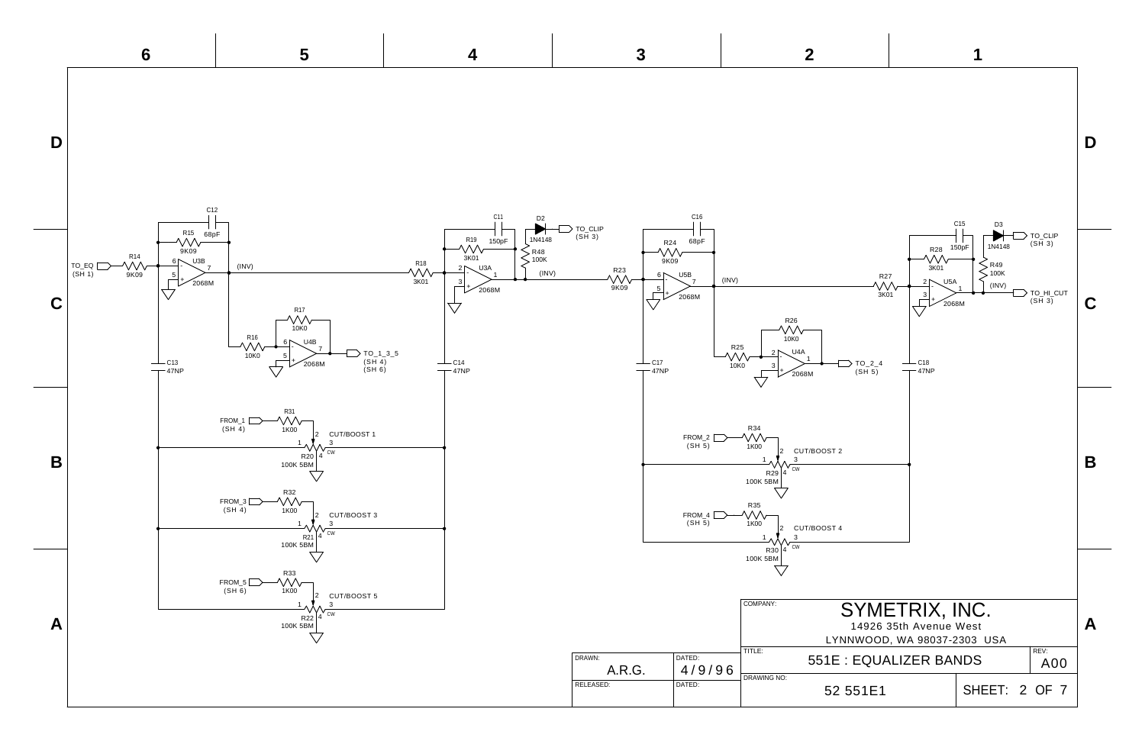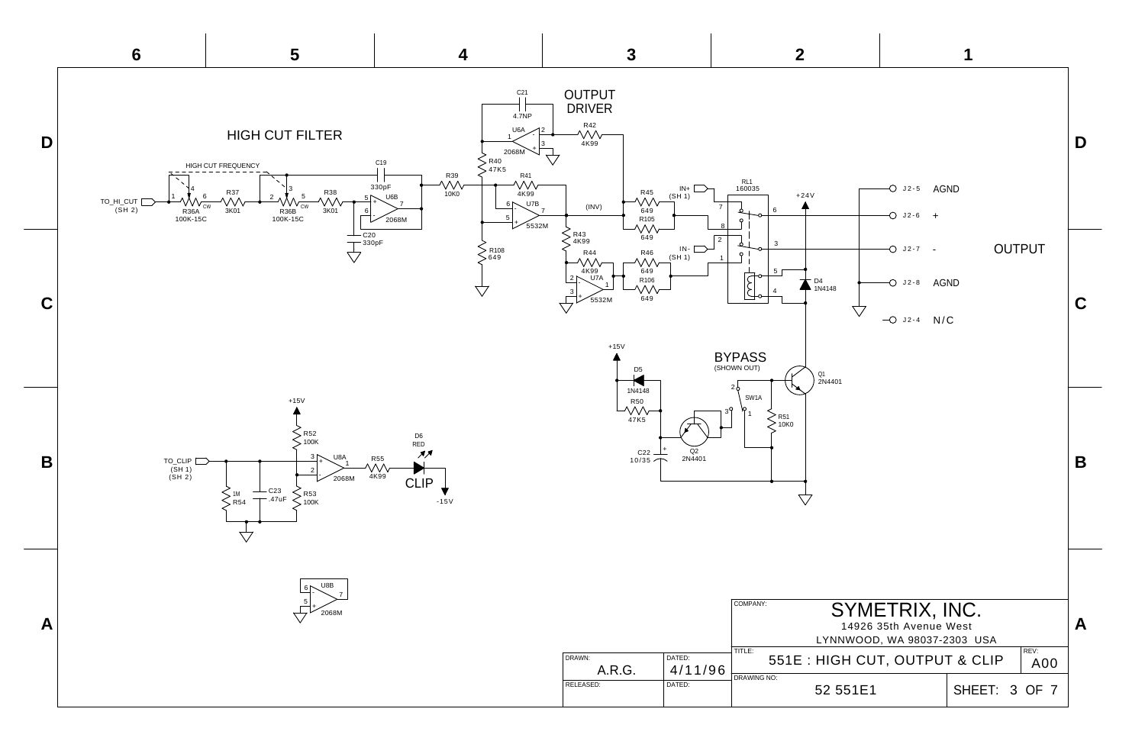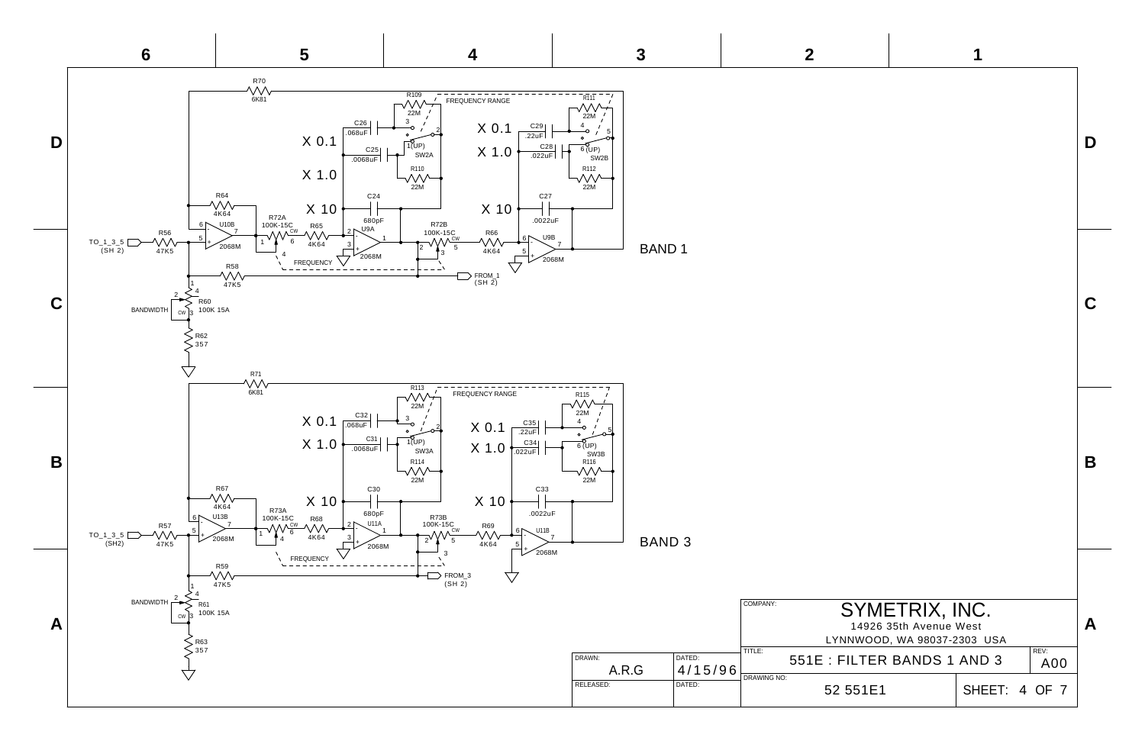

|                                                                                                               |               |             | D |
|---------------------------------------------------------------------------------------------------------------|---------------|-------------|---|
|                                                                                                               |               |             | C |
|                                                                                                               |               |             |   |
| SYMETRIX, INC.<br>14926 35th Avenue West<br>LYNNWOOD, WA 98037-2303 USA<br>: FILTER BANDS 1 AND 3<br>52 551E1 | SHEET: 4 OF 7 | REV:<br>A00 | А |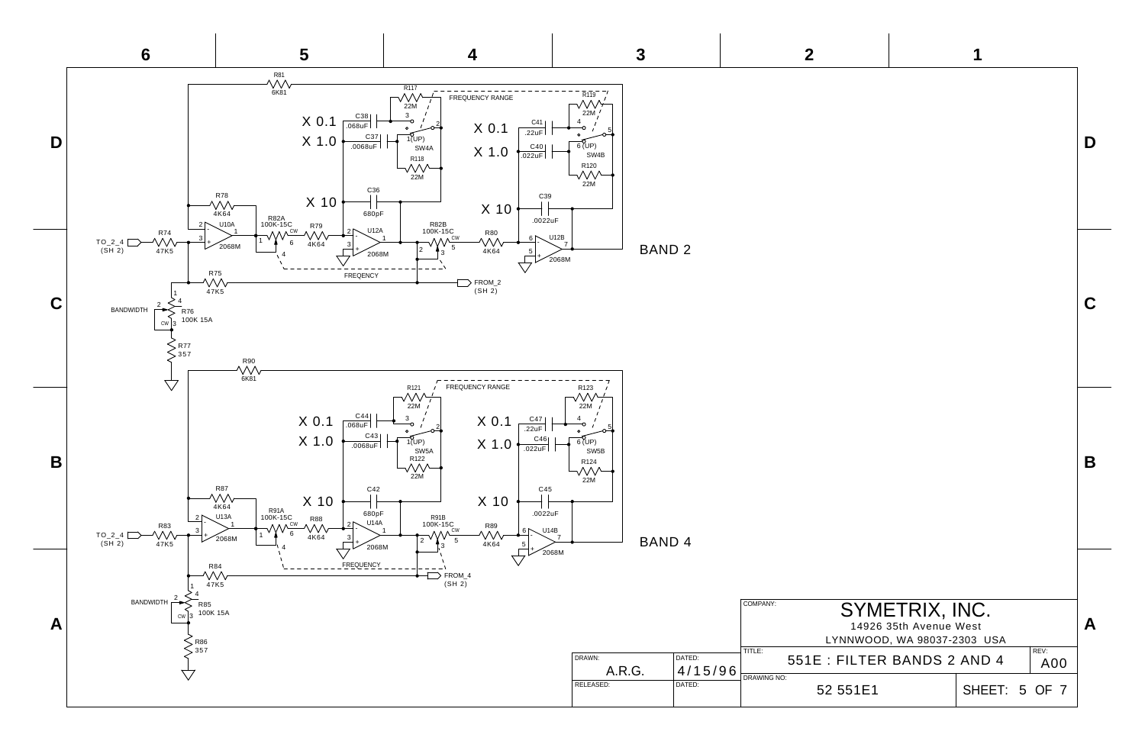| $\mathbf 2$                                   | 1                                                                                                                       |                  |
|-----------------------------------------------|-------------------------------------------------------------------------------------------------------------------------|------------------|
|                                               |                                                                                                                         | D                |
|                                               |                                                                                                                         | C                |
|                                               |                                                                                                                         | B                |
| COMPANY:<br>TITLE:<br>DRAWING NO:<br>52 551E1 | SYMETRIX, INC.<br>14926 35th Avenue West<br>LYNNWOOD, WA 98037-2303 USA<br>551E : FILTER BANDS 2 AND 4<br>SHEET: 5 OF 7 | A<br>REV:<br>A00 |

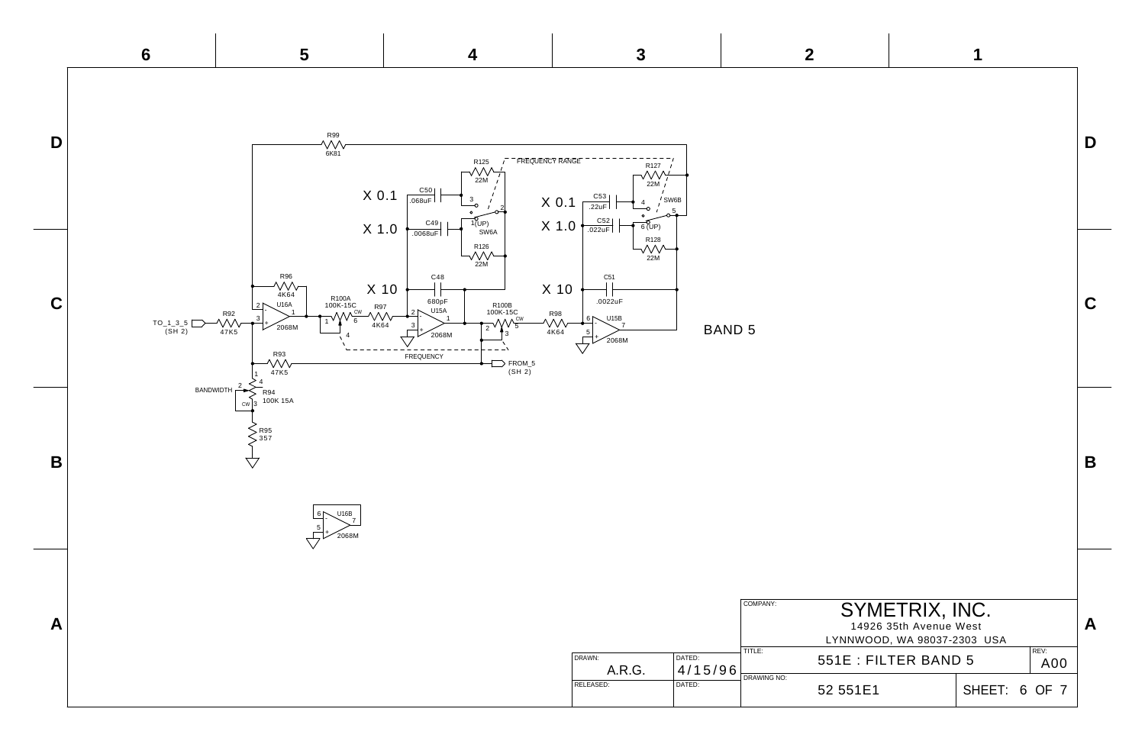

| $\boldsymbol{2}$                         |                      |                                                                         | 1             |             |   |
|------------------------------------------|----------------------|-------------------------------------------------------------------------|---------------|-------------|---|
|                                          |                      |                                                                         |               |             | D |
| $\sqrt{5}$                               |                      |                                                                         |               |             | C |
|                                          |                      |                                                                         |               |             | B |
| COMPANY:<br>TITLE:<br><b>DRAWING NO:</b> | 551E : FILTER BAND 5 | SYMETRIX, INC.<br>14926 35th Avenue West<br>LYNNWOOD, WA 98037-2303 USA |               | REV:<br>A00 | A |
|                                          | 52 551E1             |                                                                         | SHEET: 6 OF 7 |             |   |